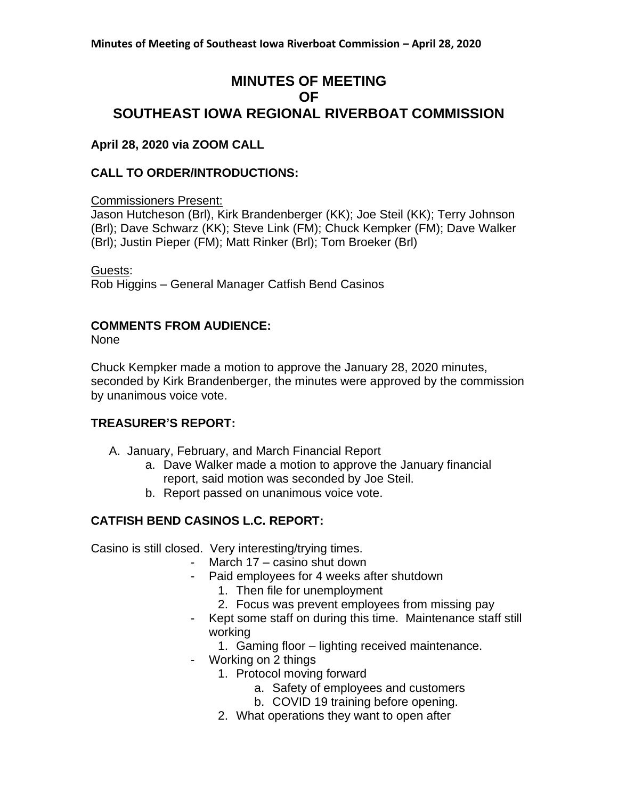# **MINUTES OF MEETING OF SOUTHEAST IOWA REGIONAL RIVERBOAT COMMISSION**

## **April 28, 2020 via ZOOM CALL**

## **CALL TO ORDER/INTRODUCTIONS:**

Commissioners Present:

Jason Hutcheson (Brl), Kirk Brandenberger (KK); Joe Steil (KK); Terry Johnson (Brl); Dave Schwarz (KK); Steve Link (FM); Chuck Kempker (FM); Dave Walker (Brl); Justin Pieper (FM); Matt Rinker (Brl); Tom Broeker (Brl)

Guests: Rob Higgins – General Manager Catfish Bend Casinos

#### **COMMENTS FROM AUDIENCE:**

None

Chuck Kempker made a motion to approve the January 28, 2020 minutes, seconded by Kirk Brandenberger, the minutes were approved by the commission by unanimous voice vote.

#### **TREASURER'S REPORT:**

- A. January, February, and March Financial Report
	- a. Dave Walker made a motion to approve the January financial report, said motion was seconded by Joe Steil.
	- b. Report passed on unanimous voice vote.

# **CATFISH BEND CASINOS L.C. REPORT:**

Casino is still closed. Very interesting/trying times.

- March 17 casino shut down
- Paid employees for 4 weeks after shutdown
	- 1. Then file for unemployment
	- 2. Focus was prevent employees from missing pay
- Kept some staff on during this time. Maintenance staff still working
	- 1. Gaming floor lighting received maintenance.
- Working on 2 things
	- 1. Protocol moving forward
		- a. Safety of employees and customers
		- b. COVID 19 training before opening.
	- 2. What operations they want to open after